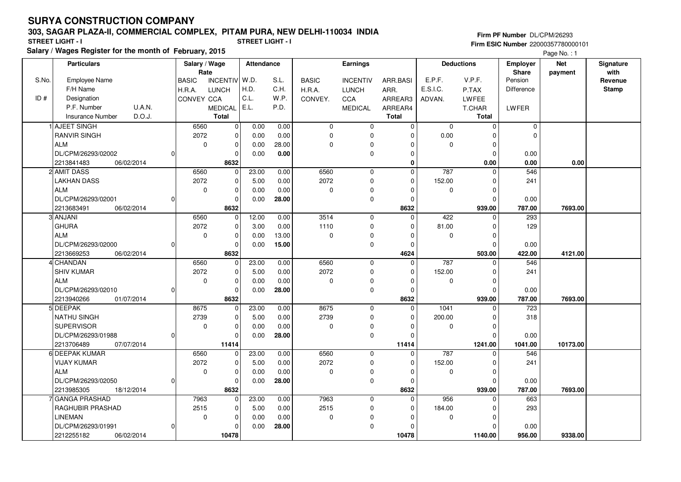### **303, SAGAR PLAZA-II, COMMERCIAL COMPLEX, PITAM PURA, NEW DELHI-110034 INDIA**

**Salary / Wages Register for the month of February, 2015 STREET LIGHT - I STREET LIGHT - I**

**Firm PF Number** DL/CPM/26293 **Firm ESIC Number** 22000357780000101

Page No. : 1

|       | <b>Particulars</b>       |          | Salary / Wage<br>Rate |                | Attendance |       | <b>Earnings</b> |                 |              |                  | <b>Deductions</b> | Employer<br>Share | <b>Net</b><br>payment | Signature<br>with |
|-------|--------------------------|----------|-----------------------|----------------|------------|-------|-----------------|-----------------|--------------|------------------|-------------------|-------------------|-----------------------|-------------------|
| S.No. | <b>Employee Name</b>     |          | <b>BASIC</b>          | INCENTIV W.D.  |            | S.L.  | <b>BASIC</b>    | <b>INCENTIV</b> | ARR.BASI     | E.P.F.           | V.P.F.            | Pension           |                       | Revenue           |
|       | F/H Name                 |          | H.R.A.                | <b>LUNCH</b>   | H.D.       | C.H.  | H.R.A.          | <b>LUNCH</b>    | ARR.         | E.S.I.C.         | P.TAX             | Difference        |                       | <b>Stamp</b>      |
| ID#   | Designation              |          | CONVEY CCA            |                | C.L.       | W.P.  | CONVEY.         | CCA             | ARREAR3      | ADVAN.           | LWFEE             |                   |                       |                   |
|       | P.F. Number              | U.A.N.   |                       | <b>MEDICAL</b> | E.L.       | P.D.  |                 | <b>MEDICAL</b>  | ARREAR4      |                  | T.CHAR            | LWFER             |                       |                   |
|       | <b>Insurance Number</b>  | D.O.J.   |                       | <b>Total</b>   |            |       |                 |                 | <b>Total</b> |                  | Total             |                   |                       |                   |
|       | 1 AJEET SINGH            |          | 6560                  | $\overline{0}$ | 0.00       | 0.00  | $\mathbf 0$     | $\mathbf 0$     | $\mathbf 0$  | $\mathbf 0$      | $\mathbf 0$       | $\mathbf 0$       |                       |                   |
|       | <b>RANVIR SINGH</b>      |          | 2072                  | 0              | 0.00       | 0.00  | $\mathbf 0$     | 0               | $\Omega$     | 0.00             |                   | 0                 |                       |                   |
|       | <b>ALM</b>               |          | $\mathbf 0$           | $\pmb{0}$      | 0.00       | 28.00 | $\Omega$        | $\mathbf 0$     | $\Omega$     | $\Omega$         | $\Omega$          |                   |                       |                   |
|       | DL/CPM/26293/02002       |          |                       | $\mathbf 0$    | 0.00       | 0.00  |                 | $\mathbf 0$     | 0            |                  | 0                 | 0.00              |                       |                   |
|       | 2213841483<br>06/02/2014 |          |                       | 8632           |            |       |                 |                 | 0            |                  | 0.00              | 0.00              | 0.00                  |                   |
|       | 2 AMIT DASS              |          | 6560                  | 0              | 23.00      | 0.00  | 6560            | $\mathbf 0$     | $\mathbf 0$  | 787              | $\mathbf 0$       | 546               |                       |                   |
|       | <b>LAKHAN DASS</b>       |          | 2072                  | $\pmb{0}$      | 5.00       | 0.00  | 2072            | 0               | $\Omega$     | 152.00           | $\Omega$          | 241               |                       |                   |
|       | ALM                      |          | $\mathbf 0$           | $\mathbf 0$    | 0.00       | 0.00  | $\Omega$        | 0               | $\Omega$     | $\Omega$         | $\Omega$          |                   |                       |                   |
|       | DL/CPM/26293/02001       |          |                       | $\mathbf 0$    | 0.00       | 28.00 |                 | $\mathbf 0$     | $\Omega$     |                  | $\Omega$          | 0.00              |                       |                   |
|       | 2213683491<br>06/02/2014 |          |                       | 8632           |            |       |                 |                 | 8632         |                  | 939.00            | 787.00            | 7693.00               |                   |
|       | 3 ANJANI                 |          | 6560                  | 0              | 12.00      | 0.00  | 3514            | $\mathbf 0$     | $\Omega$     | 422              | $\Omega$          | 293               |                       |                   |
|       | <b>GHURA</b>             |          | 2072                  | $\mathbf 0$    | 3.00       | 0.00  | 1110            | $\mathbf 0$     | $\Omega$     | 81.00            | $\Omega$          | 129               |                       |                   |
|       | <b>ALM</b>               |          | $\mathbf 0$           | $\mathbf 0$    | 0.00       | 13.00 | $\mathbf 0$     | $\mathbf 0$     | $\Omega$     | $\Omega$         | $\Omega$          |                   |                       |                   |
|       | DL/CPM/26293/02000       |          |                       | $\mathbf 0$    | 0.00       | 15.00 |                 | 0               | $\Omega$     |                  | $\Omega$          | 0.00              |                       |                   |
|       | 2213669253<br>06/02/2014 |          |                       | 8632           |            |       |                 |                 | 4624         |                  | 503.00            | 422.00            | 4121.00               |                   |
|       | 4 CHANDAN                |          | 6560                  | 0              | 23.00      | 0.00  | 6560            | $\mathbf 0$     | $\Omega$     | 787              | $\Omega$          | 546               |                       |                   |
|       | <b>SHIV KUMAR</b>        |          | 2072                  | $\mathbf 0$    | 5.00       | 0.00  | 2072            | $\mathbf 0$     | $\Omega$     | 152.00           | <sup>0</sup>      | 241               |                       |                   |
|       | <b>ALM</b>               |          | $\mathbf 0$           | $\mathbf 0$    | 0.00       | 0.00  | $\mathbf 0$     | 0               | $\Omega$     | $\Omega$         | $\Omega$          |                   |                       |                   |
|       | DL/CPM/26293/02010       |          |                       | $\mathbf 0$    | 0.00       | 28.00 |                 | $\mathbf 0$     | $\Omega$     |                  | $\Omega$          | 0.00              |                       |                   |
|       | 2213940266<br>01/07/2014 |          |                       | 8632           |            |       |                 |                 | 8632         |                  | 939.00            | 787.00            | 7693.00               |                   |
|       | 5 DEEPAK                 |          | 8675                  | $\overline{0}$ | 23.00      | 0.00  | 8675            | $\mathbf 0$     | $\Omega$     | $\frac{1041}{x}$ | $\Omega$          | $\overline{723}$  |                       |                   |
|       | <b>NATHU SINGH</b>       |          | 2739                  | $\mathbf 0$    | 5.00       | 0.00  | 2739            | $\mathbf 0$     | $\Omega$     | 200.00           | $\Omega$          | 318               |                       |                   |
|       | <b>SUPERVISOR</b>        |          | $\mathbf 0$           | $\pmb{0}$      | 0.00       | 0.00  | $\mathbf 0$     | 0               | $\Omega$     | $\mathbf 0$      | $\Omega$          |                   |                       |                   |
|       | DL/CPM/26293/01988       | $\Omega$ |                       | $\mathbf 0$    | 0.00       | 28.00 |                 | 0               | $\Omega$     |                  | $\Omega$          | 0.00              |                       |                   |
|       | 07/07/2014<br>2213706489 |          |                       | 11414          |            |       |                 |                 | 11414        |                  | 1241.00           | 1041.00           | 10173.00              |                   |
|       | 6 DEEPAK KUMAR           |          | 6560                  | 0              | 23.00      | 0.00  | 6560            | $\mathbf 0$     | $\mathbf 0$  | 787              | $\Omega$          | 546               |                       |                   |
|       | <b>VIJAY KUMAR</b>       |          | 2072                  | $\pmb{0}$      | 5.00       | 0.00  | 2072            | 0               | $\Omega$     | 152.00           | $\Omega$          | 241               |                       |                   |
|       | <b>ALM</b>               |          | $\mathbf 0$           | $\mathbf 0$    | 0.00       | 0.00  | $\mathbf 0$     | 0               | $\Omega$     | 0                | $\Omega$          |                   |                       |                   |
|       | DL/CPM/26293/02050       |          |                       | 0              | 0.00       | 28.00 |                 | 0               | $\Omega$     |                  | <sup>0</sup>      | 0.00              |                       |                   |
|       | 2213985305<br>18/12/2014 |          |                       | 8632           |            |       |                 |                 | 8632         |                  | 939.00            | 787.00            | 7693.00               |                   |
|       | 7 GANGA PRASHAD          |          | 7963                  | $\mathbf 0$    | 23.00      | 0.00  | 7963            | $\mathbf 0$     | $\mathbf 0$  | 956              | $\mathbf 0$       | 663               |                       |                   |
|       | RAGHUBIR PRASHAD         |          | 2515                  | $\mathbf 0$    | 5.00       | 0.00  | 2515            | 0               | $\Omega$     | 184.00           | $\Omega$          | 293               |                       |                   |
|       | <b>LINEMAN</b>           |          | 0                     | 0              | 0.00       | 0.00  | $\mathbf 0$     | 0               | $\Omega$     | $\mathbf 0$      | $\Omega$          |                   |                       |                   |
|       | DL/CPM/26293/01991       |          |                       | $\Omega$       | 0.00       | 28.00 |                 | $\pmb{0}$       |              |                  | <sup>0</sup>      | 0.00              |                       |                   |
|       | 2212255182<br>06/02/2014 |          |                       | 10478          |            |       |                 |                 | 10478        |                  | 1140.00           | 956.00            | 9338.00               |                   |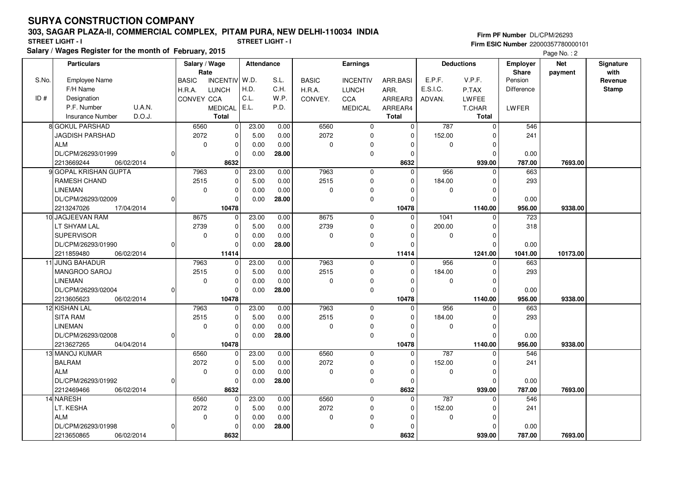### **303, SAGAR PLAZA-II, COMMERCIAL COMPLEX, PITAM PURA, NEW DELHI-110034 INDIA**

**Salary / Wages Register for the month of February, 2015 STREET LIGHT - I STREET LIGHT - I**

**Firm PF Number** DL/CPM/26293 **Firm ESIC Number** 22000357780000101

Page No.: 2

|       | <b>Particulars</b>                        |          | Salary / Wage<br>Rate |                                | <b>Attendance</b> |               | Earnings          |                            |                         |                    | <b>Deductions</b>       | <b>Employer</b>         | <b>Net</b> | Signature       |
|-------|-------------------------------------------|----------|-----------------------|--------------------------------|-------------------|---------------|-------------------|----------------------------|-------------------------|--------------------|-------------------------|-------------------------|------------|-----------------|
| S.No. | <b>Employee Name</b>                      |          | <b>BASIC</b>          | <b>INCENTIV</b>                | W.D.              | S.L.          | <b>BASIC</b>      | <b>INCENTIV</b>            | ARR.BASI                | E.P.F.             | V.P.F.                  | <b>Share</b><br>Pension | payment    | with<br>Revenue |
|       | F/H Name                                  |          |                       | <b>LUNCH</b>                   | H.D.              | C.H.          |                   |                            |                         | E.S.I.C.           |                         | Difference              |            | <b>Stamp</b>    |
| ID#   | Designation                               |          | H.R.A.<br>CONVEY CCA  |                                | C.L.              | W.P.          | H.R.A.<br>CONVEY. | <b>LUNCH</b><br><b>CCA</b> | ARR.<br>ARREAR3         |                    | P.TAX<br>LWFEE          |                         |            |                 |
|       | U.A.N.<br>P.F. Number                     |          |                       |                                | E.L.              | P.D.          |                   |                            |                         | ADVAN.             |                         |                         |            |                 |
|       | D.O.J.<br><b>Insurance Number</b>         |          |                       | <b>MEDICAL</b><br><b>Total</b> |                   |               |                   | <b>MEDICAL</b>             | ARREAR4<br><b>Total</b> |                    | T.CHAR<br><b>Total</b>  | <b>LWFER</b>            |            |                 |
|       |                                           |          |                       |                                |                   |               |                   |                            |                         |                    |                         |                         |            |                 |
|       | 8 GOKUL PARSHAD<br><b>JAGDISH PARSHAD</b> |          | 6560<br>2072          | $\mathbf 0$                    | 23.00             | 0.00          | 6560<br>2072      | 0<br>$\Omega$              | $\mathbf 0$<br>$\Omega$ | 787                | $\mathbf 0$<br>$\Omega$ | 546<br>241              |            |                 |
|       | <b>ALM</b>                                |          | $\mathbf 0$           | 0                              | 5.00              | 0.00          |                   |                            | $\Omega$                | 152.00             | $\Omega$                |                         |            |                 |
|       | DL/CPM/26293/01999                        | $\Omega$ |                       | 0<br>$\mathbf 0$               | 0.00              | 0.00<br>28.00 | $\mathbf 0$       | 0                          | $\Omega$                | 0                  | $\Omega$                | 0.00                    |            |                 |
|       | 2213669244<br>06/02/2014                  |          |                       | 8632                           | 0.00              |               |                   | $\mathbf 0$                | 8632                    |                    | 939.00                  | 787.00                  | 7693.00    |                 |
|       | 9 GOPAL KRISHAN GUPTA                     |          | 7963                  | $\mathbf 0$                    | 23.00             | 0.00          | 7963              | $\mathbf 0$                | $\Omega$                | 956                | $\mathbf 0$             | 663                     |            |                 |
|       | <b>RAMESH CHAND</b>                       |          | 2515                  | 0                              | 5.00              | 0.00          | 2515              | $\mathbf 0$                | $\Omega$                |                    | $\Omega$                | 293                     |            |                 |
|       | <b>LINEMAN</b>                            |          | $\Omega$              | 0                              |                   | 0.00          | 0                 |                            | $\Omega$                | 184.00<br>$\Omega$ | $\Omega$                |                         |            |                 |
|       | DL/CPM/26293/02009                        | $\Omega$ |                       | $\mathbf 0$                    | 0.00<br>0.00      | 28.00         |                   | 0<br>$\mathbf 0$           | $\Omega$                |                    | $\Omega$                | 0.00                    |            |                 |
|       | 2213247026<br>17/04/2014                  |          |                       | 10478                          |                   |               |                   |                            | 10478                   |                    | 1140.00                 | 956.00                  | 9338.00    |                 |
|       | 10 JAGJEEVAN RAM                          |          | 8675                  | $\mathbf 0$                    | 23.00             | 0.00          | 8675              | 0                          | $\mathbf 0$             | 1041               | $\Omega$                | 723                     |            |                 |
|       | LT SHYAM LAL                              |          | 2739                  | $\overline{0}$                 | 5.00              | 0.00          | 2739              | $\mathbf 0$                | $\Omega$                | 200.00             | $\Omega$                | 318                     |            |                 |
|       | <b>SUPERVISOR</b>                         |          | $\mathbf 0$           | 0                              | 0.00              | 0.00          | $\mathbf 0$       | 0                          | $\Omega$                | $\mathbf 0$        | $\mathbf 0$             |                         |            |                 |
|       | DL/CPM/26293/01990                        | $\Omega$ |                       | 0                              | 0.00              | 28.00         |                   | $\mathbf 0$                | 0                       |                    | $\Omega$                | 0.00                    |            |                 |
|       | 2211859480<br>06/02/2014                  |          |                       | 11414                          |                   |               |                   |                            | 11414                   |                    | 1241.00                 | 1041.00                 | 10173.00   |                 |
|       | 11 JUNG BAHADUR                           |          | 7963                  | $\overline{0}$                 | 23.00             | 0.00          | 7963              | $\mathbf 0$                | $\Omega$                | 956                | $\Omega$                | 663                     |            |                 |
|       | MANGROO SAROJ                             |          | 2515                  | $\overline{0}$                 | 5.00              | 0.00          | 2515              | $\mathbf 0$                | $\Omega$                | 184.00             | $\Omega$                | 293                     |            |                 |
|       | LINEMAN                                   |          | $\mathbf 0$           | $\mathbf 0$                    | 0.00              | 0.00          | $\mathbf 0$       | 0                          | $\Omega$                | $\mathbf 0$        | $\Omega$                |                         |            |                 |
|       | DL/CPM/26293/02004                        | $\Omega$ |                       | $\mathbf 0$                    | 0.00              | 28.00         |                   | $\mathbf 0$                | $\Omega$                |                    | $\Omega$                | 0.00                    |            |                 |
|       | 2213605623<br>06/02/2014                  |          |                       | 10478                          |                   |               |                   |                            | 10478                   |                    | 1140.00                 | 956.00                  | 9338.00    |                 |
|       | 12 KISHAN LAL                             |          | 7963                  | 0                              | 23.00             | 0.00          | 7963              | $\Omega$                   | $\Omega$                | 956                | $\Omega$                | 663                     |            |                 |
|       | <b>SITA RAM</b>                           |          | 2515                  | $\overline{0}$                 | 5.00              | 0.00          | 2515              | $\mathbf 0$                | $\Omega$                | 184.00             | $\Omega$                | 293                     |            |                 |
|       | <b>LINEMAN</b>                            |          | $\mathbf 0$           | 0                              | 0.00              | 0.00          | $\pmb{0}$         | $\Omega$                   | $\Omega$                | $\mathbf 0$        | $\Omega$                |                         |            |                 |
|       | DL/CPM/26293/02008                        | $\Omega$ |                       | 0                              | 0.00              | 28.00         |                   | $\mathbf 0$                | $\Omega$                |                    | $\Omega$                | 0.00                    |            |                 |
|       | 2213627265<br>04/04/2014                  |          |                       | 10478                          |                   |               |                   |                            | 10478                   |                    | 1140.00                 | 956.00                  | 9338.00    |                 |
|       | 13 MANOJ KUMAR                            |          | 6560                  | 0                              | 23.00             | 0.00          | 6560              | 0                          | $\Omega$                | 787                | $\Omega$                | 546                     |            |                 |
|       | <b>BALRAM</b>                             |          | 2072                  | 0                              | 5.00              | 0.00          | 2072              | 0                          | 0                       | 152.00             | 0                       | 241                     |            |                 |
|       | ALM                                       |          | $\mathbf 0$           | $\mathbf 0$                    | 0.00              | 0.00          | $\mathbf 0$       | $\Omega$                   | $\Omega$                | $\mathbf 0$        | $\Omega$                |                         |            |                 |
|       | DL/CPM/26293/01992                        | $\Omega$ |                       | 0                              | 0.00              | 28.00         |                   | $\mathbf 0$                | $\Omega$                |                    | $\Omega$                | 0.00                    |            |                 |
|       | 2212469466<br>06/02/2014                  |          |                       | 8632                           |                   |               |                   |                            | 8632                    |                    | 939.00                  | 787.00                  | 7693.00    |                 |
|       | 14 NARESH                                 |          | 6560                  | $\mathbf 0$                    | 23.00             | 0.00          | 6560              | 0                          | $\Omega$                | 787                | $\Omega$                | 546                     |            |                 |
|       | LT. KESHA                                 |          | 2072                  | 0                              | 5.00              | 0.00          | 2072              | $\mathbf 0$                | $\mathbf 0$             | 152.00             | $\Omega$                | 241                     |            |                 |
|       | <b>ALM</b>                                |          | $\mathbf 0$           | 0                              | 0.00              | 0.00          | 0                 | $\mathbf 0$                | $\Omega$                | 0                  | $\Omega$                |                         |            |                 |
|       | DL/CPM/26293/01998                        | $\Omega$ |                       | $\mathbf 0$                    | 0.00              | 28.00         |                   | $\mathbf 0$                | $\Omega$                |                    | $\Omega$                | 0.00                    |            |                 |
|       | 2213650865<br>06/02/2014                  |          |                       | 8632                           |                   |               |                   |                            | 8632                    |                    | 939.00                  | 787.00                  | 7693.00    |                 |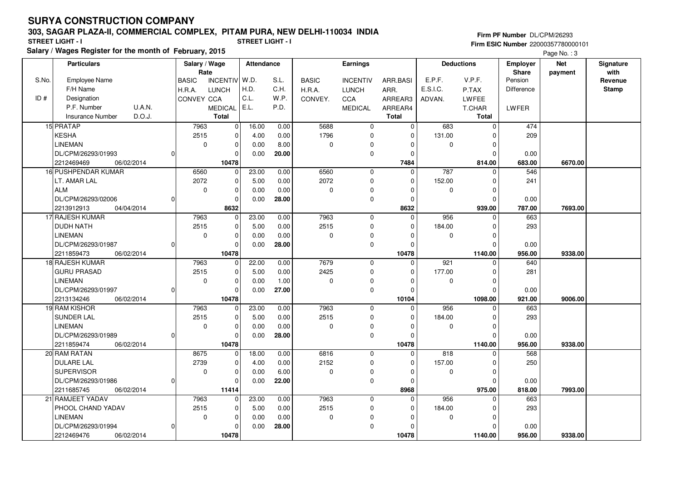### **303, SAGAR PLAZA-II, COMMERCIAL COMPLEX, PITAM PURA, NEW DELHI-110034 INDIA**

**Salary / Wages Register for the month of February, 2015 STREET LIGHT - I STREET LIGHT - I**

**Firm PF Number** DL/CPM/26293 **Firm ESIC Number** 22000357780000101

Page No. : 3

|       | <b>Particulars</b>                |   | Salary / Wage<br>Rate |                | <b>Attendance</b> |       | <b>Earnings</b> |                 |              |             | <b>Deductions</b> | <b>Employer</b><br><b>Share</b> | <b>Net</b> | Signature<br>with |
|-------|-----------------------------------|---|-----------------------|----------------|-------------------|-------|-----------------|-----------------|--------------|-------------|-------------------|---------------------------------|------------|-------------------|
| S.No. | <b>Employee Name</b>              |   | <b>BASIC</b>          | INCENTIV W.D.  |                   | S.L.  | <b>BASIC</b>    | <b>INCENTIV</b> | ARR.BASI     | E.P.F.      | V.P.F.            | Pension                         | payment    | Revenue           |
|       | F/H Name                          |   | H.R.A.                | <b>LUNCH</b>   | H.D.              | C.H.  | H.R.A.          | <b>LUNCH</b>    | ARR.         | E.S.I.C.    | P.TAX             | Difference                      |            | <b>Stamp</b>      |
| ID#   | Designation                       |   | CONVEY CCA            |                | C.L.              | W.P.  | CONVEY.         | <b>CCA</b>      | ARREAR3      | ADVAN.      | LWFEE             |                                 |            |                   |
|       | P.F. Number<br>U.A.N.             |   |                       | <b>MEDICAL</b> | E.L.              | P.D.  |                 | <b>MEDICAL</b>  | ARREAR4      |             | T.CHAR            | <b>LWFER</b>                    |            |                   |
|       | D.O.J.<br><b>Insurance Number</b> |   |                       | Total          |                   |       |                 |                 | <b>Total</b> |             | Total             |                                 |            |                   |
|       | 15 PRATAP                         |   | 7963                  | $\overline{0}$ | 16.00             | 0.00  | 5688            | $\mathbf 0$     | $\Omega$     | 683         | $\mathbf{0}$      | 474                             |            |                   |
|       | <b>KESHA</b>                      |   | 2515                  | $\pmb{0}$      | 4.00              | 0.00  | 1796            | 0               |              | 131.00      | $\Omega$          | 209                             |            |                   |
|       | <b>LINEMAN</b>                    |   | $\mathbf 0$           | $\mathbf 0$    | 0.00              | 8.00  | $\mathbf 0$     | 0               |              | $\Omega$    | $\Omega$          |                                 |            |                   |
|       | DL/CPM/26293/01993                |   |                       | $\mathbf 0$    | 0.00              | 20.00 |                 | 0               | $\Omega$     |             | $\Omega$          | 0.00                            |            |                   |
|       | 2212469469<br>06/02/2014          |   |                       | 10478          |                   |       |                 |                 | 7484         |             | 814.00            | 683.00                          | 6670.00    |                   |
|       | 16 PUSHPENDAR KUMAR               |   | 6560                  | $\mathbf 0$    | 23.00             | 0.00  | 6560            | $\mathbf 0$     | $\Omega$     | 787         | $\Omega$          | 546                             |            |                   |
|       | LT. AMAR LAL                      |   | 2072                  | $\pmb{0}$      | 5.00              | 0.00  | 2072            | 0               | $\Omega$     | 152.00      | $\Omega$          | 241                             |            |                   |
|       | <b>ALM</b>                        |   | $\mathbf 0$           | $\Omega$       | 0.00              | 0.00  | $\mathbf 0$     | 0               |              | $\mathbf 0$ | $\Omega$          |                                 |            |                   |
|       | DL/CPM/26293/02006                |   |                       | $\Omega$       | 0.00              | 28.00 |                 | 0               |              |             | $\Omega$          | 0.00                            |            |                   |
|       | 2213912913<br>04/04/2014          |   |                       | 8632           |                   |       |                 |                 | 8632         |             | 939.00            | 787.00                          | 7693.00    |                   |
|       | 17 RAJESH KUMAR                   |   | 7963                  | $\pmb{0}$      | 23.00             | 0.00  | 7963            | $\mathbf 0$     | $\Omega$     | 956         | $\Omega$          | 663                             |            |                   |
|       | <b>DUDH NATH</b>                  |   | 2515                  | $\mathbf 0$    | 5.00              | 0.00  | 2515            | $\mathbf 0$     |              | 184.00      | $\Omega$          | 293                             |            |                   |
|       | LINEMAN                           |   | 0                     | 0              | 0.00              | 0.00  | 0               | 0               | $\Omega$     | $\mathbf 0$ | 0                 |                                 |            |                   |
|       | DL/CPM/26293/01987                | U |                       | $\Omega$       | 0.00              | 28.00 |                 | 0               | $\Omega$     |             | $\Omega$          | 0.00                            |            |                   |
|       | 06/02/2014<br>2211859473          |   |                       | 10478          |                   |       |                 |                 | 10478        |             | 1140.00           | 956.00                          | 9338.00    |                   |
|       | 18 RAJESH KUMAR                   |   | 7963                  | $\mathbf 0$    | 22.00             | 0.00  | 7679            | $\overline{0}$  | $\Omega$     | 921         | $\Omega$          | 640                             |            |                   |
|       | <b>GURU PRASAD</b>                |   | 2515                  | $\mathbf 0$    | 5.00              | 0.00  | 2425            | 0               | $\Omega$     | 177.00      | $\Omega$          | 281                             |            |                   |
|       | <b>LINEMAN</b>                    |   | $\Omega$              | $\pmb{0}$      | 0.00              | 1.00  | $\mathbf 0$     | 0               | $\Omega$     | $\mathbf 0$ | $\Omega$          |                                 |            |                   |
|       | DL/CPM/26293/01997                | O |                       | $\Omega$       | 0.00              | 27.00 |                 | 0               |              |             | $\Omega$          | 0.00                            |            |                   |
|       | 06/02/2014<br>2213134246          |   |                       | 10478          |                   |       |                 |                 | 10104        |             | 1098.00           | 921.00                          | 9006.00    |                   |
|       | 19 RAM KISHOR                     |   | 7963                  | $\Omega$       | 23.00             | 0.00  | 7963            | $\mathbf 0$     | $\Omega$     | 956         | $\Omega$          | 663                             |            |                   |
|       | SUNDER LAL                        |   | 2515                  | 0              | 5.00              | 0.00  | 2515            | 0               |              | 184.00      | $\Omega$          | 293                             |            |                   |
|       | <b>LINEMAN</b>                    |   | 0                     | $\mathbf 0$    | 0.00              | 0.00  | $\pmb{0}$       | 0               |              | $\mathbf 0$ | 0                 |                                 |            |                   |
|       | DL/CPM/26293/01989                |   |                       | $\Omega$       | 0.00              | 28.00 |                 | 0               |              |             | $\Omega$          | 0.00                            |            |                   |
|       | 2211859474<br>06/02/2014          |   |                       | 10478          |                   |       |                 |                 | 10478        |             | 1140.00           | 956.00                          | 9338.00    |                   |
|       | 20 RAM RATAN                      |   | 8675                  | $\Omega$       | 18.00             | 0.00  | 6816            | $\mathbf 0$     | $\Omega$     | 818         | $\Omega$          | 568                             |            |                   |
|       | <b>DULARE LAL</b>                 |   | 2739                  | $\pmb{0}$      | 4.00              | 0.00  | 2152            | 0               | $\Omega$     | 157.00      | $\Omega$          | 250                             |            |                   |
|       | <b>SUPERVISOR</b>                 |   | $\mathbf 0$           | $\mathbf 0$    | 0.00              | 6.00  | $\pmb{0}$       | 0               |              | 0           | $\Omega$          |                                 |            |                   |
|       | DL/CPM/26293/01986                |   |                       | $\Omega$       | 0.00              | 22.00 |                 | 0               | $\Omega$     |             | $\Omega$          | 0.00                            |            |                   |
|       | 2211685745<br>06/02/2014          |   |                       | 11414          |                   |       |                 |                 | 8968         |             | 975.00            | 818.00                          | 7993.00    |                   |
|       | 21 RAMJEET YADAV                  |   | 7963                  | $\mathbf 0$    | 23.00             | 0.00  | 7963            | $\mathbf 0$     | $\Omega$     | 956         | $\Omega$          | 663                             |            |                   |
|       | PHOOL CHAND YADAV                 |   | 2515                  | $\pmb{0}$      | 5.00              | 0.00  | 2515            | 0               | $\Omega$     | 184.00      | $\Omega$          | 293                             |            |                   |
|       | <b>LINEMAN</b>                    |   | $\mathbf 0$           | $\mathbf 0$    | 0.00              | 0.00  | $\mathbf 0$     | 0               |              | 0           | $\Omega$          |                                 |            |                   |
|       | DL/CPM/26293/01994                |   |                       | $\Omega$       | 0.00              | 28.00 |                 | 0               |              |             | $\Omega$          | 0.00                            |            |                   |
|       | 2212469476<br>06/02/2014          |   |                       | 10478          |                   |       |                 |                 | 10478        |             | 1140.00           | 956.00                          | 9338.00    |                   |